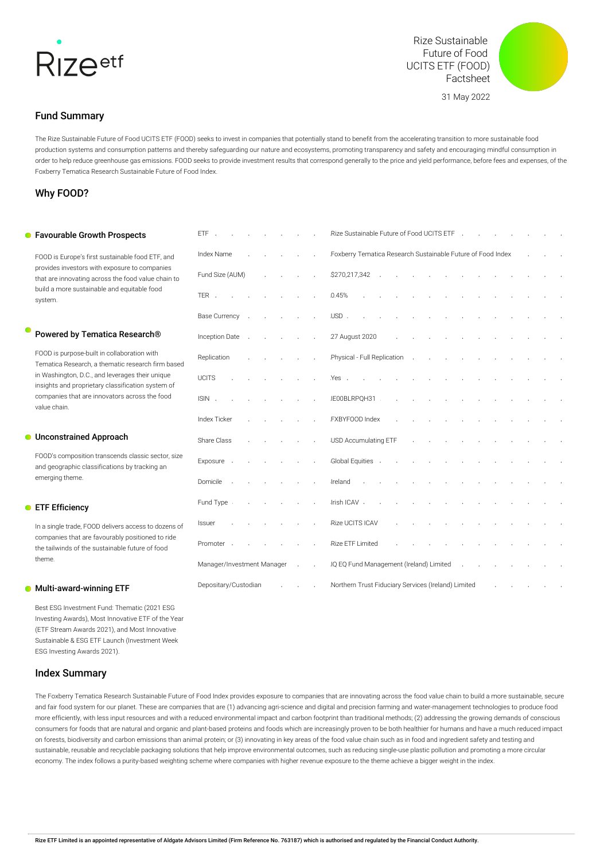

Rize Sustainable Future of Food UCITS ETF (FOOD) Factsheet

31 May 2022



Fund Summary

The Rize Sustainable Future of Food UCITS ETF (FOOD) seeks to invest in companies that potentially stand to benefit from the accelerating transition to more sustainable food production systems and consumption patterns and thereby safeguarding our nature and ecosystems, promoting transparency and safety and encouraging mindful consumption in order to help reduce greenhouse gas emissions. FOOD seeks to provide investment results that correspond generally to the price and yield performance, before fees and expenses, of the Foxberry Tematica Research Sustainable Future of Food Index.

## Why FOOD?

#### **•** Favourable Growth Prospects

FOOD is Europe's first sustainable food ETF, and provides investors with exposure to companies that are innovating across the food value chain to build a more sustainable and equitable food system.

## Powered by Tematica Research®

FOOD is purpose-built in collaboration with Tematica Research, a thematic research firm based in Washington, D.C., and leverages their unique insights and proprietary classification system of companies that are innovators across the food value chain.

### **C** Unconstrained Approach

FOOD's composition transcends classic sector, size and geographic classifications by tracking an emerging theme.

## **C** ETF Efficiency

In a single trade, FOOD delivers access to dozens of companies that are favourably positioned to ride the tailwinds of the sustainable future of food theme.

## **Multi-award-winning ETF**

Best ESG Investment Fund: Thematic (2021 ESG Investing Awards), Most Innovative ETF of the Year (ETF Stream Awards 2021), and Most Innovative Sustainable & ESG ETF Launch (Investment Week ESG Investing Awards 2021).

## Index Summary

| ETF                        |  |  | Rize Sustainable Future of Food UCITS ETF                                   |
|----------------------------|--|--|-----------------------------------------------------------------------------|
| Index Name                 |  |  | Foxberry Tematica Research Sustainable Future of Food Index                 |
| Fund Size (AUM)            |  |  | \$270,217,342                                                               |
| TER .                      |  |  | 0.45%                                                                       |
| <b>Base Currency</b>       |  |  | USD.                                                                        |
| Inception Date             |  |  | 27 August 2020                                                              |
| Replication                |  |  | Physical - Full Replication                                                 |
| <b>UCITS</b>               |  |  | Yes.                                                                        |
| ISIN.                      |  |  | IE00BLRPQH31                                                                |
| <b>Index Ticker</b>        |  |  | FXBYFOOD Index                                                              |
| Share Class                |  |  | USD Accumulating ETF                                                        |
| Exposure                   |  |  | Global Equities                                                             |
| Domicile                   |  |  | Ireland                                                                     |
| Fund Type                  |  |  | Irish ICAV .                                                                |
| Issuer                     |  |  | Rize UCITS ICAV                                                             |
| Promoter .                 |  |  | Rize ETF Limited                                                            |
| Manager/Investment Manager |  |  | IQ EQ Fund Management (Ireland) Limited                                     |
| Depositary/Custodian       |  |  | Northern Trust Fiduciary Services (Ireland) Limited<br>$\ddot{\phantom{0}}$ |

The Foxberry Tematica Research Sustainable Future of Food Index provides exposure to companies that are innovating across the food value chain to build a more sustainable, secure and fair food system for our planet. These are companies that are (1) advancing agri-science and digital and precision farming and water-management technologies to produce food more efficiently, with less input resources and with a reduced environmental impact and carbon footprint than traditional methods; (2) addressing the growing demands of conscious consumers for foods that are natural and organic and plant-based proteins and foods which are increasingly proven to be both healthier for humans and have a much reduced impact on forests, biodiversity and carbon emissions than animal protein; or (3) innovating in key areas of the food value chain such as in food and ingredient safety and testing and sustainable, reusable and recyclable packaging solutions that help improve environmental outcomes, such as reducing single-use plastic pollution and promoting a more circular economy. The index follows a purity-based weighting scheme where companies with higher revenue exposure to the theme achieve a bigger weight in the index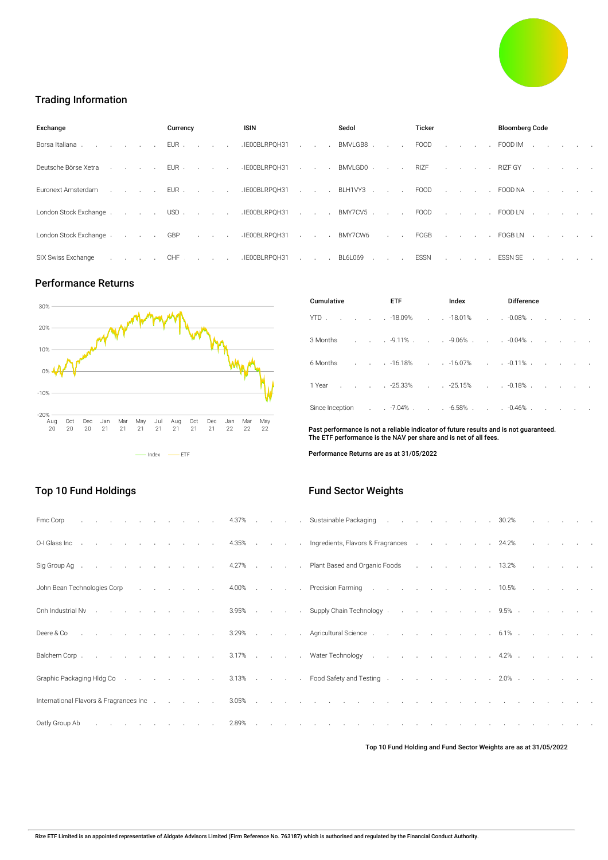

# Trading Information

| Exchange                                                                                                                                                                                                                      | Currency | ISIN                     | Sedol | Ticker | <b>Bloomberg Code</b>                   |  |  |  |  |  |
|-------------------------------------------------------------------------------------------------------------------------------------------------------------------------------------------------------------------------------|----------|--------------------------|-------|--------|-----------------------------------------|--|--|--|--|--|
| Borsa Italiana                                                                                                                                                                                                                |          | EUR IE00BLRPQH31 BMVLGB8 |       |        | FOOD FOOD IM                            |  |  |  |  |  |
| Deutsche Börse XetraEURIEOOBLRPQH31BMVLGD0RIZFRIZFGY                                                                                                                                                                          |          |                          |       |        |                                         |  |  |  |  |  |
| Euronext Amsterdam North Line Studies (EUR North Line Studies 1900 Reserve Line Studies 2000 Reserve Line Studies 2000 NA North Line Studies 2000 NA North Line Studies 2000 NA North Line Studies 2000 NA North Studies 2000 |          |                          |       |        |                                         |  |  |  |  |  |
| London Stock Exchange USD IE00BLRPQH31 BMY7CV5 FOOD FOOD LN                                                                                                                                                                   |          |                          |       |        |                                         |  |  |  |  |  |
| London Stock Exchange GBP IEOOBLRPQH31 BMY7CW6 FOGB FOGBLN                                                                                                                                                                    |          |                          |       |        |                                         |  |  |  |  |  |
| SIX Swiss Exchange                                                                                                                                                                                                            |          |                          |       |        | . CHF IEOOBLRPOH31 BL6L069 ESSN ESSN SE |  |  |  |  |  |

## Performance Returns

Top 10 Fund Holdings



| Cumulative |  | ETF                                                                          |  | Index                 |                            | <b>Difference</b> |                               |  |  |  |  |  |  |  |
|------------|--|------------------------------------------------------------------------------|--|-----------------------|----------------------------|-------------------|-------------------------------|--|--|--|--|--|--|--|
| YTD.       |  | $. 18.09%$ .                                                                 |  | $. -18.01\%$          | $\mathcal{L}^{\text{max}}$ | $. 0.08\%$        |                               |  |  |  |  |  |  |  |
|            |  | 3 Months          .          .    -9.11%          .    -9.06%    .    .    - |  |                       |                            | $. -0.04\%$ .     | and the contract of the state |  |  |  |  |  |  |  |
|            |  |                                                                              |  |                       |                            |                   |                               |  |  |  |  |  |  |  |
|            |  | 1 Year 25.33% 25.15% 0.18% .                                                 |  |                       |                            |                   |                               |  |  |  |  |  |  |  |
|            |  |                                                                              |  | $-6.58\%$ $-0.46\%$ . |                            |                   |                               |  |  |  |  |  |  |  |

Past performance is not a reliable indicator of future results and is not guaranteed. The ETF performance is the NAV per share and is net of all fees.

Performance Returns are as at 31/05/2022

# Fund Sector Weights

| Fmc Corp 4.37% Sustainable Packaging 30.2%                                                                                                                                                                                    |  |  |  |  |  |  |  |  |  |  |  |  |
|-------------------------------------------------------------------------------------------------------------------------------------------------------------------------------------------------------------------------------|--|--|--|--|--|--|--|--|--|--|--|--|
| OH Glass Inc 4.35% Ingredients, Flavors & Fragrances 24.2%                                                                                                                                                                    |  |  |  |  |  |  |  |  |  |  |  |  |
| Sig Group Ag 4.27% Plant Based and Organic Foods 13.2%                                                                                                                                                                        |  |  |  |  |  |  |  |  |  |  |  |  |
| John Bean Technologies Corp (Corp. The Corp. Lett. A 4.00% (Corp. Lett. Recision Farming (Corp. Lett. Lett. A Sample 2014) and D. The Corp. Lett. A Sample 2014 and D. S. Lett. A Sample 2014 and D. Precision Farming (Corp. |  |  |  |  |  |  |  |  |  |  |  |  |
| Cnh Industrial Nv 395% Supply Chain Technology 9.5%                                                                                                                                                                           |  |  |  |  |  |  |  |  |  |  |  |  |
| Deere & Co in the case of the contract of the contract of the contract of the contract of the contract of the contract of the contract of the contract of the contract of the contract of the contract of the contract of the |  |  |  |  |  |  |  |  |  |  |  |  |
| Balchem Corp. 3.17% Water Technology 4.2%                                                                                                                                                                                     |  |  |  |  |  |  |  |  |  |  |  |  |
| Graphic Packaging HIdg Co 3.13% Food Safety and Testing 2.0%                                                                                                                                                                  |  |  |  |  |  |  |  |  |  |  |  |  |
|                                                                                                                                                                                                                               |  |  |  |  |  |  |  |  |  |  |  |  |
|                                                                                                                                                                                                                               |  |  |  |  |  |  |  |  |  |  |  |  |

Top 10 Fund Holding and Fund Sector Weights are as at 31/05/2022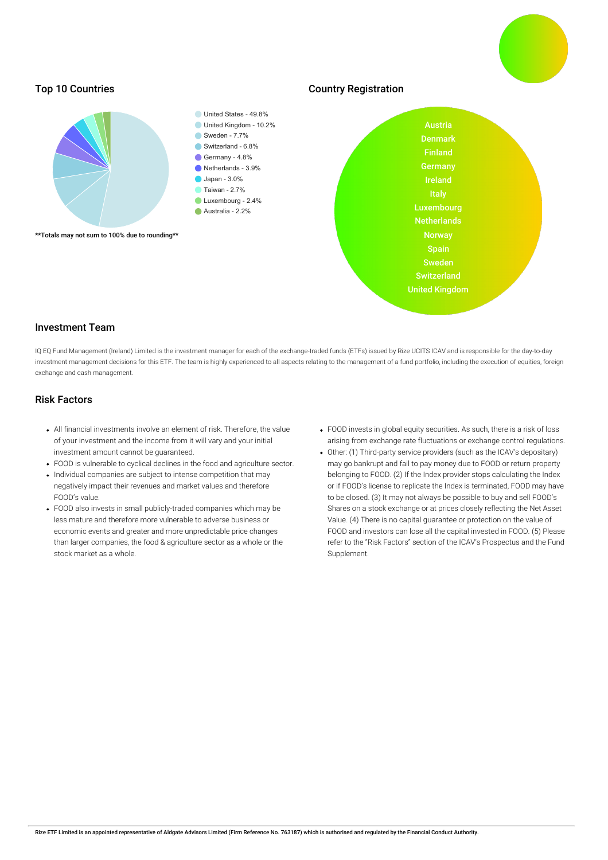

## Investment Team

IQ EQ Fund Management (Ireland) Limited is the investment manager for each of the exchange-traded funds (ETFs) issued by Rize UCITS ICAV and is responsible for the day-to-day investment management decisions for this ETF. The team is highly experienced to all aspects relating to the management of a fund portfolio, including the execution of equities, foreign exchange and cash management.

# Risk Factors

- All financial investments involve an element of risk. Therefore, the value of your investment and the income from it will vary and your initial investment amount cannot be guaranteed.
- FOOD is vulnerable to cyclical declines in the food and agriculture sector.
- Individual companies are subject to intense competition that may negatively impact their revenues and market values and therefore FOOD's value.
- FOOD also invests in small publicly-traded companies which may be less mature and therefore more vulnerable to adverse business or economic events and greater and more unpredictable price changes than larger companies, the food & agriculture sector as a whole or the stock market as a whole.
- FOOD invests in global equity securities. As such, there is a risk of loss arising from exchange rate fluctuations or exchange control regulations.
- Other: (1) Third-party service providers (such as the ICAV's depositary) may go bankrupt and fail to pay money due to FOOD or return property belonging to FOOD. (2) If the Index provider stops calculating the Index or if FOOD's license to replicate the Index is terminated, FOOD may have to be closed. (3) It may not always be possible to buy and sell FOOD's Shares on a stock exchange or at prices closely reflecting the Net Asset Value. (4) There is no capital guarantee or protection on the value of FOOD and investors can lose all the capital invested in FOOD. (5) Please refer to the "Risk Factors" section of the ICAV's Prospectus and the Fund Supplement.